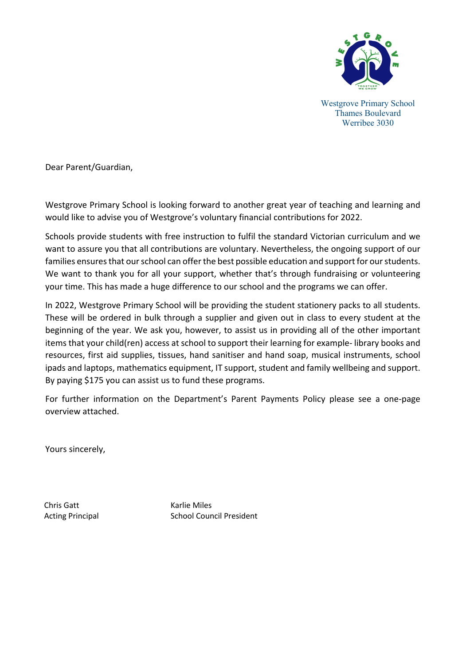

Westgrove Primary School Thames Boulevard Werribee 3030

Dear Parent/Guardian,

Westgrove Primary School is looking forward to another great year of teaching and learning and would like to advise you of Westgrove's voluntary financial contributions for 2022.

Schools provide students with free instruction to fulfil the standard Victorian curriculum and we want to assure you that all contributions are voluntary. Nevertheless, the ongoing support of our families ensures that our school can offer the best possible education and support for our students. We want to thank you for all your support, whether that's through fundraising or volunteering your time. This has made a huge difference to our school and the programs we can offer.

In 2022, Westgrove Primary School will be providing the student stationery packs to all students. These will be ordered in bulk through a supplier and given out in class to every student at the beginning of the year. We ask you, however, to assist us in providing all of the other important items that your child(ren) access at school to support their learning for example- library books and resources, first aid supplies, tissues, hand sanitiser and hand soap, musical instruments, school ipads and laptops, mathematics equipment, IT support, student and family wellbeing and support. By paying \$175 you can assist us to fund these programs.

For further information on the Department's Parent Payments Policy please see a one-page overview attached.

Yours sincerely,

Chris Gatt **Karlie Miles** 

Acting Principal School Council President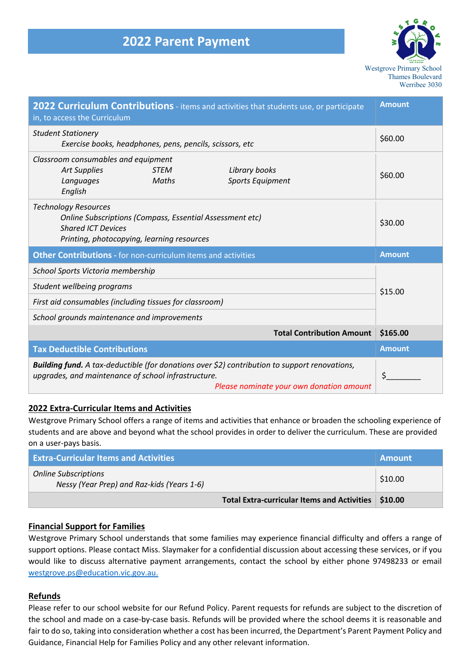

| <b>Amount</b><br>2022 Curriculum Contributions - items and activities that students use, or participate<br>in, to access the Curriculum                                                          |               |  |
|--------------------------------------------------------------------------------------------------------------------------------------------------------------------------------------------------|---------------|--|
| <b>Student Stationery</b><br>Exercise books, headphones, pens, pencils, scissors, etc                                                                                                            | \$60.00       |  |
| Classroom consumables and equipment<br>Library books<br><b>Art Supplies</b><br><b>STEM</b><br>Sports Equipment<br>Maths<br>Languages<br>English                                                  | \$60.00       |  |
| <b>Technology Resources</b><br>Online Subscriptions (Compass, Essential Assessment etc)<br><b>Shared ICT Devices</b><br>Printing, photocopying, learning resources                               | \$30.00       |  |
| Other Contributions - for non-curriculum items and activities                                                                                                                                    | <b>Amount</b> |  |
| School Sports Victoria membership                                                                                                                                                                |               |  |
| Student wellbeing programs                                                                                                                                                                       | \$15.00       |  |
| First aid consumables (including tissues for classroom)                                                                                                                                          |               |  |
| School grounds maintenance and improvements                                                                                                                                                      |               |  |
| <b>Total Contribution Amount</b>                                                                                                                                                                 | \$165.00      |  |
| <b>Tax Deductible Contributions</b>                                                                                                                                                              | <b>Amount</b> |  |
| Building fund. A tax-deductible (for donations over \$2) contribution to support renovations,<br>upgrades, and maintenance of school infrastructure.<br>Please nominate your own donation amount | \$            |  |

### **2022 Extra-Curricular Items and Activities**

Westgrove Primary School offers a range of items and activities that enhance or broaden the schooling experience of students and are above and beyond what the school provides in order to deliver the curriculum. These are provided on a user-pays basis.

| <b>Extra-Curricular Items and Activities</b>                              |                                                       | <b>Amount</b> |
|---------------------------------------------------------------------------|-------------------------------------------------------|---------------|
| <b>Online Subscriptions</b><br>Nessy (Year Prep) and Raz-kids (Years 1-6) |                                                       | \$10.00       |
|                                                                           | Total Extra-curricular Items and Activities   \$10.00 |               |

### **Financial Support for Families**

Westgrove Primary School understands that some families may experience financial difficulty and offers a range of support options. Please contact Miss. Slaymaker for a confidential discussion about accessing these services, or if you would like to discuss alternative payment arrangements, contact the school by either phone 97498233 or email westgrove.ps@education.vic.gov.au.

### **Refunds**

Please refer to our school website for our Refund Policy. Parent requests for refunds are subject to the discretion of the school and made on a case-by-case basis. Refunds will be provided where the school deems it is reasonable and fair to do so, taking into consideration whether a cost has been incurred, the Department's Parent Payment Policy and Guidance, Financial Help for Families Policy and any other relevant information.